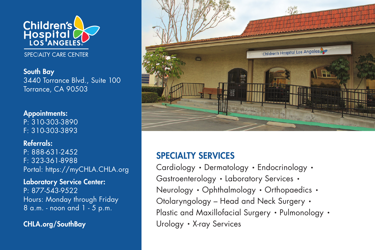

SPECIAITY CARE CENTER

South Bay 3440 Torrance Blvd., Suite 100 Torrance, CA 90503

Appointments: P: 310-303-3890 F: 310-303-3893

Referrals: P: 888-631-2452 F: 323-361-8988 Portal: https://myCHLA.CHLA.org

Laboratory Service Center: P: 877-543-9522 Hours: Monday through Friday 8 a.m. - noon and 1 - 5 p.m.

CHLA.org/SouthBay



## SPECIALTY SERVICES

Cardiology • Dermatology • Endocrinology • Gastroenterology • Laboratory Services • Neurology • Ophthalmology • Orthopaedics • Otolaryngology – Head and Neck Surgery • Plastic and Maxillofacial Surgery • Pulmonology • Urology • X-ray Services